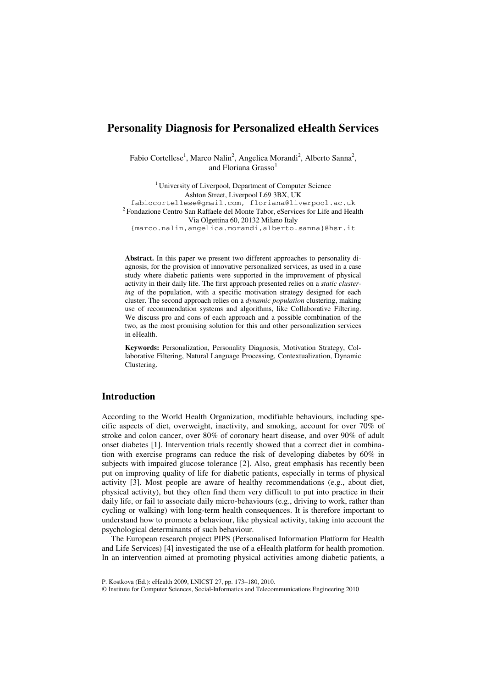# **Personality Diagnosis for Personalized eHealth Services**

Fabio Cortellese<sup>1</sup>, Marco Nalin<sup>2</sup>, Angelica Morandi<sup>2</sup>, Alberto Sanna<sup>2</sup>, and Floriana Grasso $<sup>1</sup>$ </sup>

<sup>1</sup> University of Liverpool, Department of Computer Science Ashton Street, Liverpool L69 3BX, UK fabiocortellese@gmail.com, floriana@liverpool.ac.uk 2 Fondazione Centro San Raffaele del Monte Tabor, eServices for Life and Health Via Olgettina 60, 20132 Milano Italy {marco.nalin,angelica.morandi,alberto.sanna}@hsr.it

**Abstract.** In this paper we present two different approaches to personality diagnosis, for the provision of innovative personalized services, as used in a case study where diabetic patients were supported in the improvement of physical activity in their daily life. The first approach presented relies on a *static clustering* of the population, with a specific motivation strategy designed for each cluster. The second approach relies on a *dynamic population* clustering, making use of recommendation systems and algorithms, like Collaborative Filtering. We discuss pro and cons of each approach and a possible combination of the two, as the most promising solution for this and other personalization services in eHealth.

**Keywords:** Personalization, Personality Diagnosis, Motivation Strategy, Collaborative Filtering, Natural Language Processing, Contextualization, Dynamic Clustering.

## **Introduction**

According to the World Health Organization, modifiable behaviours, including specific aspects of diet, overweight, inactivity, and smoking, account for over 70% of stroke and colon cancer, over 80% of coronary heart disease, and over 90% of adult onset diabetes [1]. Intervention trials recently showed that a correct diet in combination with exercise programs can reduce the risk of developing diabetes by 60% in subjects with impaired glucose tolerance [2]. Also, great emphasis has recently been put on improving quality of life for diabetic patients, especially in terms of physical activity [3]. Most people are aware of healthy recommendations (e.g., about diet, physical activity), but they often find them very difficult to put into practice in their daily life, or fail to associate daily micro-behaviours (e.g., driving to work, rather than cycling or walking) with long-term health consequences. It is therefore important to understand how to promote a behaviour, like physical activity, taking into account the psychological determinants of such behaviour.

The European research project PIPS (Personalised Information Platform for Health and Life Services) [4] investigated the use of a eHealth platform for health promotion. In an intervention aimed at promoting physical activities among diabetic patients, a

P. Kostkova (Ed.): eHealth 2009, LNICST 27, pp. 173–180, 2010.

<sup>©</sup> Institute for Computer Sciences, Social-Informatics and Telecommunications Engineering 2010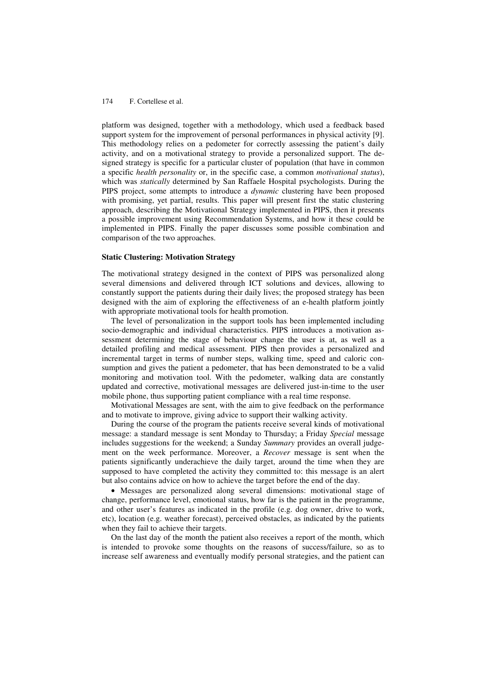platform was designed, together with a methodology, which used a feedback based support system for the improvement of personal performances in physical activity [9]. This methodology relies on a pedometer for correctly assessing the patient's daily activity, and on a motivational strategy to provide a personalized support. The designed strategy is specific for a particular cluster of population (that have in common a specific *health personality* or, in the specific case, a common *motivational status*), which was *statically* determined by San Raffaele Hospital psychologists. During the PIPS project, some attempts to introduce a *dynamic* clustering have been proposed with promising, yet partial, results. This paper will present first the static clustering approach, describing the Motivational Strategy implemented in PIPS, then it presents a possible improvement using Recommendation Systems, and how it these could be implemented in PIPS. Finally the paper discusses some possible combination and comparison of the two approaches.

## **Static Clustering: Motivation Strategy**

The motivational strategy designed in the context of PIPS was personalized along several dimensions and delivered through ICT solutions and devices, allowing to constantly support the patients during their daily lives; the proposed strategy has been designed with the aim of exploring the effectiveness of an e-health platform jointly with appropriate motivational tools for health promotion.

The level of personalization in the support tools has been implemented including socio-demographic and individual characteristics. PIPS introduces a motivation assessment determining the stage of behaviour change the user is at, as well as a detailed profiling and medical assessment. PIPS then provides a personalized and incremental target in terms of number steps, walking time, speed and caloric consumption and gives the patient a pedometer, that has been demonstrated to be a valid monitoring and motivation tool. With the pedometer, walking data are constantly updated and corrective, motivational messages are delivered just-in-time to the user mobile phone, thus supporting patient compliance with a real time response.

Motivational Messages are sent, with the aim to give feedback on the performance and to motivate to improve, giving advice to support their walking activity.

During the course of the program the patients receive several kinds of motivational message: a standard message is sent Monday to Thursday; a Friday *Special* message includes suggestions for the weekend; a Sunday *Summary* provides an overall judgement on the week performance. Moreover, a *Recover* message is sent when the patients significantly underachieve the daily target, around the time when they are supposed to have completed the activity they committed to: this message is an alert but also contains advice on how to achieve the target before the end of the day.

• Messages are personalized along several dimensions: motivational stage of change, performance level, emotional status, how far is the patient in the programme, and other user's features as indicated in the profile (e.g. dog owner, drive to work, etc), location (e.g. weather forecast), perceived obstacles, as indicated by the patients when they fail to achieve their targets.

On the last day of the month the patient also receives a report of the month, which is intended to provoke some thoughts on the reasons of success/failure, so as to increase self awareness and eventually modify personal strategies, and the patient can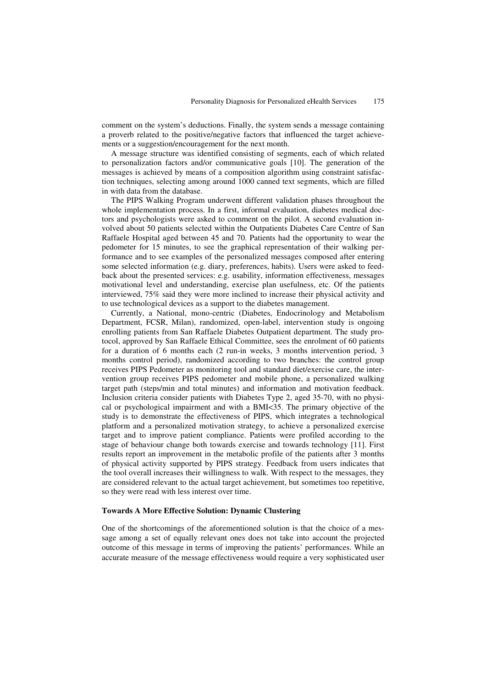comment on the system's deductions. Finally, the system sends a message containing a proverb related to the positive/negative factors that influenced the target achievements or a suggestion/encouragement for the next month.

A message structure was identified consisting of segments, each of which related to personalization factors and/or communicative goals [10]. The generation of the messages is achieved by means of a composition algorithm using constraint satisfaction techniques, selecting among around 1000 canned text segments, which are filled in with data from the database.

The PIPS Walking Program underwent different validation phases throughout the whole implementation process. In a first, informal evaluation, diabetes medical doctors and psychologists were asked to comment on the pilot. A second evaluation involved about 50 patients selected within the Outpatients Diabetes Care Centre of San Raffaele Hospital aged between 45 and 70. Patients had the opportunity to wear the pedometer for 15 minutes, to see the graphical representation of their walking performance and to see examples of the personalized messages composed after entering some selected information (e.g. diary, preferences, habits). Users were asked to feedback about the presented services: e.g. usability, information effectiveness, messages motivational level and understanding, exercise plan usefulness, etc. Of the patients interviewed, 75% said they were more inclined to increase their physical activity and to use technological devices as a support to the diabetes management.

Currently, a National, mono-centric (Diabetes, Endocrinology and Metabolism Department, FCSR, Milan), randomized, open-label, intervention study is ongoing enrolling patients from San Raffaele Diabetes Outpatient department. The study protocol, approved by San Raffaele Ethical Committee, sees the enrolment of 60 patients for a duration of 6 months each (2 run-in weeks, 3 months intervention period, 3 months control period), randomized according to two branches: the control group receives PIPS Pedometer as monitoring tool and standard diet/exercise care, the intervention group receives PIPS pedometer and mobile phone, a personalized walking target path (steps/min and total minutes) and information and motivation feedback. Inclusion criteria consider patients with Diabetes Type 2, aged 35-70, with no physical or psychological impairment and with a BMI<35. The primary objective of the study is to demonstrate the effectiveness of PIPS, which integrates a technological platform and a personalized motivation strategy, to achieve a personalized exercise target and to improve patient compliance. Patients were profiled according to the stage of behaviour change both towards exercise and towards technology [11]. First results report an improvement in the metabolic profile of the patients after 3 months of physical activity supported by PIPS strategy. Feedback from users indicates that the tool overall increases their willingness to walk. With respect to the messages, they are considered relevant to the actual target achievement, but sometimes too repetitive, so they were read with less interest over time.

#### **Towards A More Effective Solution: Dynamic Clustering**

One of the shortcomings of the aforementioned solution is that the choice of a message among a set of equally relevant ones does not take into account the projected outcome of this message in terms of improving the patients' performances. While an accurate measure of the message effectiveness would require a very sophisticated user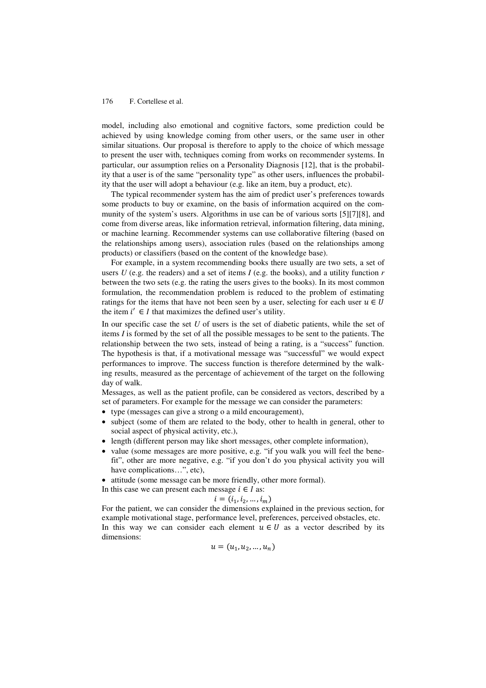model, including also emotional and cognitive factors, some prediction could be achieved by using knowledge coming from other users, or the same user in other similar situations. Our proposal is therefore to apply to the choice of which message to present the user with, techniques coming from works on recommender systems. In particular, our assumption relies on a Personality Diagnosis [12], that is the probability that a user is of the same "personality type" as other users, influences the probability that the user will adopt a behaviour (e.g. like an item, buy a product, etc).

The typical recommender system has the aim of predict user's preferences towards some products to buy or examine, on the basis of information acquired on the community of the system's users. Algorithms in use can be of various sorts [5][7][8], and come from diverse areas, like information retrieval, information filtering, data mining, or machine learning. Recommender systems can use collaborative filtering (based on the relationships among users), association rules (based on the relationships among products) or classifiers (based on the content of the knowledge base).

For example, in a system recommending books there usually are two sets, a set of users *U* (e.g. the readers) and a set of items *I* (e.g. the books), and a utility function *r* between the two sets (e.g. the rating the users gives to the books). In its most common formulation, the recommendation problem is reduced to the problem of estimating ratings for the items that have not been seen by a user, selecting for each user  $u \in U$ the item  $i' \in I$  that maximizes the defined user's utility.

In our specific case the set *U* of users is the set of diabetic patients, while the set of items *I* is formed by the set of all the possible messages to be sent to the patients. The relationship between the two sets, instead of being a rating, is a "success" function. The hypothesis is that, if a motivational message was "successful" we would expect performances to improve. The success function is therefore determined by the walking results, measured as the percentage of achievement of the target on the following day of walk.

Messages, as well as the patient profile, can be considered as vectors, described by a set of parameters. For example for the message we can consider the parameters:

- type (messages can give a strong o a mild encouragement),
- subject (some of them are related to the body, other to health in general, other to social aspect of physical activity, etc.),
- length (different person may like short messages, other complete information),
- value (some messages are more positive, e.g. "if you walk you will feel the benefit", other are more negative, e.g. "if you don't do you physical activity you will have complications...", etc),
- attitude (some message can be more friendly, other more formal).

In this case we can present each message  $i \in I$  as:

$$
i=(i_1,i_2,\ldots,i_m)
$$

For the patient, we can consider the dimensions explained in the previous section, for example motivational stage, performance level, preferences, perceived obstacles, etc. In this way we can consider each element  $u \in U$  as a vector described by its dimensions:

$$
u=(u_1,u_2,\ldots,u_n)
$$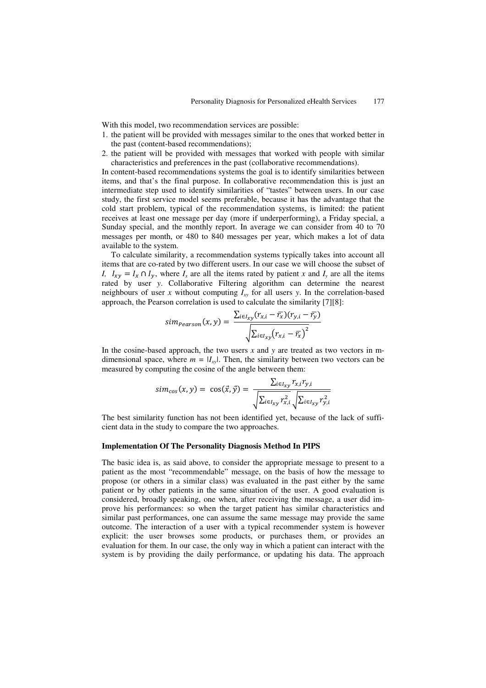With this model, two recommendation services are possible:

- 1. the patient will be provided with messages similar to the ones that worked better in the past (content-based recommendations);
- 2. the patient will be provided with messages that worked with people with similar characteristics and preferences in the past (collaborative recommendations).

In content-based recommendations systems the goal is to identify similarities between items, and that's the final purpose. In collaborative recommendation this is just an intermediate step used to identify similarities of "tastes" between users. In our case study, the first service model seems preferable, because it has the advantage that the cold start problem, typical of the recommendation systems, is limited: the patient receives at least one message per day (more if underperforming), a Friday special, a Sunday special, and the monthly report. In average we can consider from 40 to 70 messages per month, or 480 to 840 messages per year, which makes a lot of data available to the system.

To calculate similarity, a recommendation systems typically takes into account all items that are co-rated by two different users. In our case we will choose the subset of *I,*  $I_{xy} = I_x \cap I_y$ , where  $I_x$  are all the items rated by patient *x* and  $I_y$  are all the items rated by user *y*. Collaborative Filtering algorithm can determine the nearest neighbours of user *x* without computing  $I_{xy}$  for all users *y*. In the correlation-based approach, the Pearson correlation is used to calculate the similarity [7][8]:

$$
sim_{Pearson}(x, y) = \frac{\sum_{i \in I_{xy}} (r_{x,i} - \overline{r_x})(r_{y,i} - \overline{r_y})}{\sqrt{\sum_{i \in I_{xy}} (r_{x,i} - \overline{r_x})^2}}
$$

In the cosine-based approach, the two users *x* and *y* are treated as two vectors in mdimensional space, where  $m = |I_{xy}|$ . Then, the similarity between two vectors can be measured by computing the cosine of the angle between them:

$$
sim_{cos}(x, y) = \cos(\vec{x}, \vec{y}) = \frac{\sum_{i \in I_{xy}} r_{x,i} r_{y,i}}{\sqrt{\sum_{i \in I_{xy}} r_{x,i}^2} \sqrt{\sum_{i \in I_{xy}} r_{y,i}^2}}
$$

The best similarity function has not been identified yet, because of the lack of sufficient data in the study to compare the two approaches.

#### **Implementation Of The Personality Diagnosis Method In PIPS**

The basic idea is, as said above, to consider the appropriate message to present to a patient as the most "recommendable" message, on the basis of how the message to propose (or others in a similar class) was evaluated in the past either by the same patient or by other patients in the same situation of the user. A good evaluation is considered, broadly speaking, one when, after receiving the message, a user did improve his performances: so when the target patient has similar characteristics and similar past performances, one can assume the same message may provide the same outcome. The interaction of a user with a typical recommender system is however explicit: the user browses some products, or purchases them, or provides an evaluation for them. In our case, the only way in which a patient can interact with the system is by providing the daily performance, or updating his data. The approach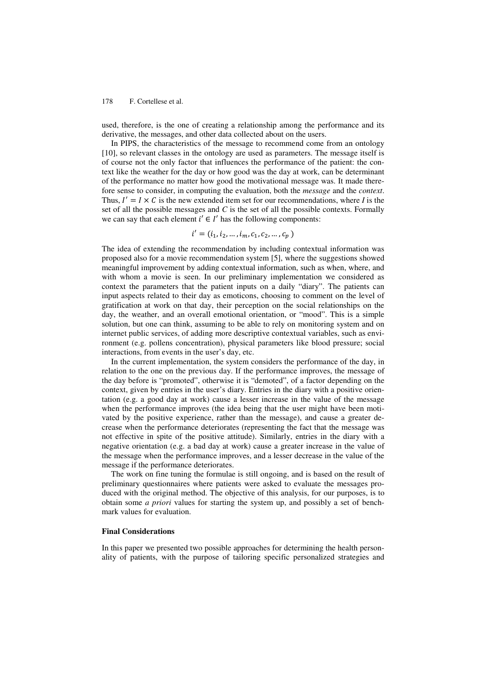used, therefore, is the one of creating a relationship among the performance and its derivative, the messages, and other data collected about on the users.

In PIPS, the characteristics of the message to recommend come from an ontology [10], so relevant classes in the ontology are used as parameters. The message itself is of course not the only factor that influences the performance of the patient: the context like the weather for the day or how good was the day at work, can be determinant of the performance no matter how good the motivational message was. It made therefore sense to consider, in computing the evaluation, both the *message* and the *context*. Thus,  $I' = I \times C$  is the new extended item set for our recommendations, where *I* is the set of all the possible messages and *C* is the set of all the possible contexts. Formally we can say that each element  $i' \in I'$  has the following components:

$$
i' = (i_1, i_2, \dots, i_m, c_1, c_2, \dots, c_p)
$$

The idea of extending the recommendation by including contextual information was proposed also for a movie recommendation system [5], where the suggestions showed meaningful improvement by adding contextual information, such as when, where, and with whom a movie is seen. In our preliminary implementation we considered as context the parameters that the patient inputs on a daily "diary". The patients can input aspects related to their day as emoticons, choosing to comment on the level of gratification at work on that day, their perception on the social relationships on the day, the weather, and an overall emotional orientation, or "mood". This is a simple solution, but one can think, assuming to be able to rely on monitoring system and on internet public services, of adding more descriptive contextual variables, such as environment (e.g. pollens concentration), physical parameters like blood pressure; social interactions, from events in the user's day, etc.

In the current implementation, the system considers the performance of the day, in relation to the one on the previous day. If the performance improves, the message of the day before is "promoted", otherwise it is "demoted", of a factor depending on the context, given by entries in the user's diary. Entries in the diary with a positive orientation (e.g. a good day at work) cause a lesser increase in the value of the message when the performance improves (the idea being that the user might have been motivated by the positive experience, rather than the message), and cause a greater decrease when the performance deteriorates (representing the fact that the message was not effective in spite of the positive attitude). Similarly, entries in the diary with a negative orientation (e.g. a bad day at work) cause a greater increase in the value of the message when the performance improves, and a lesser decrease in the value of the message if the performance deteriorates.

The work on fine tuning the formulae is still ongoing, and is based on the result of preliminary questionnaires where patients were asked to evaluate the messages produced with the original method. The objective of this analysis, for our purposes, is to obtain some *a priori* values for starting the system up, and possibly a set of benchmark values for evaluation.

#### **Final Considerations**

In this paper we presented two possible approaches for determining the health personality of patients, with the purpose of tailoring specific personalized strategies and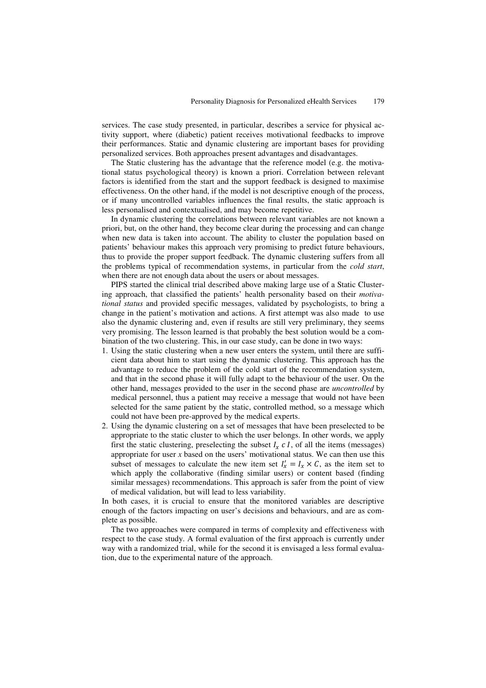services. The case study presented, in particular, describes a service for physical activity support, where (diabetic) patient receives motivational feedbacks to improve their performances. Static and dynamic clustering are important bases for providing personalized services. Both approaches present advantages and disadvantages.

The Static clustering has the advantage that the reference model (e.g. the motivational status psychological theory) is known a priori. Correlation between relevant factors is identified from the start and the support feedback is designed to maximise effectiveness. On the other hand, if the model is not descriptive enough of the process, or if many uncontrolled variables influences the final results, the static approach is less personalised and contextualised, and may become repetitive.

In dynamic clustering the correlations between relevant variables are not known a priori, but, on the other hand, they become clear during the processing and can change when new data is taken into account. The ability to cluster the population based on patients' behaviour makes this approach very promising to predict future behaviours, thus to provide the proper support feedback. The dynamic clustering suffers from all the problems typical of recommendation systems, in particular from the *cold start*, when there are not enough data about the users or about messages.

PIPS started the clinical trial described above making large use of a Static Clustering approach, that classified the patients' health personality based on their *motivational status* and provided specific messages, validated by psychologists, to bring a change in the patient's motivation and actions. A first attempt was also made to use also the dynamic clustering and, even if results are still very preliminary, they seems very promising. The lesson learned is that probably the best solution would be a combination of the two clustering. This, in our case study, can be done in two ways:

- 1. Using the static clustering when a new user enters the system, until there are sufficient data about him to start using the dynamic clustering. This approach has the advantage to reduce the problem of the cold start of the recommendation system, and that in the second phase it will fully adapt to the behaviour of the user. On the other hand, messages provided to the user in the second phase are *uncontrolled* by medical personnel, thus a patient may receive a message that would not have been selected for the same patient by the static, controlled method, so a message which could not have been pre-approved by the medical experts.
- 2. Using the dynamic clustering on a set of messages that have been preselected to be appropriate to the static cluster to which the user belongs. In other words, we apply first the static clustering, preselecting the subset  $I<sub>x</sub> c I$ , of all the items (messages) appropriate for user  $x$  based on the users' motivational status. We can then use this subset of messages to calculate the new item set  $I'_x = I_x \times C$ , as the item set to which apply the collaborative (finding similar users) or content based (finding similar messages) recommendations. This approach is safer from the point of view of medical validation, but will lead to less variability.

In both cases, it is crucial to ensure that the monitored variables are descriptive enough of the factors impacting on user's decisions and behaviours, and are as complete as possible.

The two approaches were compared in terms of complexity and effectiveness with respect to the case study. A formal evaluation of the first approach is currently under way with a randomized trial, while for the second it is envisaged a less formal evaluation, due to the experimental nature of the approach.